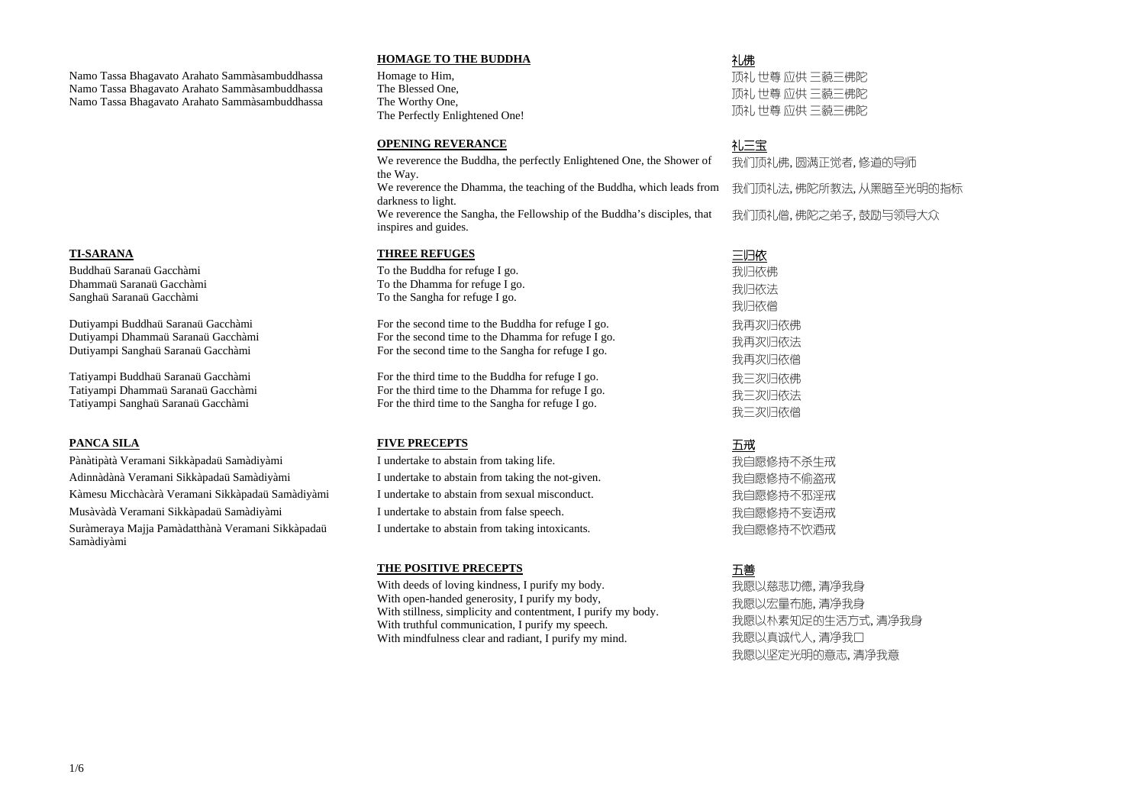### **HOMAGE TO THE BUDDHA**

# 礼佛

Namo Tassa Bhagavato Arahato Sammàsambuddhassa Namo Tassa Bhagavato Arahato Sammàsambuddhassa Namo Tassa Bhagavato Arahato Sammàsambuddhassa

Homage to Him, The Blessed One, The Worthy One, The Perfectly Enlightened One!

顶礼 世尊 应供 三藐三佛陀 顶礼 世尊 应供 三藐三佛陀 顶礼 世尊 应供 三藐三佛陀

### **OPENING REVERANCE**

# 礼三宝

We reverence the Buddha, the perfectly Enlightened One, the Shower of the Way. We reverence the Dhamma, the teaching of the Buddha, which leads from

我们顶礼佛, 圆满正觉者, 修道的导师 我们顶礼法, 佛陀所教法, 从黑暗至光明的指标 我们顶礼僧, 佛陀之弟子, 鼓励与领导大众

darkness to light. We reverence the Sangha, the Fellowship of the Buddha's disciples, that inspires and guides.

### **TI-SARANA THREE REFUGES**

### 三归依

Buddhaü Saranaü Gacchàmi Dhammaü Saranaü Gacchàmi Sanghaü Saranaü Gacchàmi

To the Buddha for refuge I go. To the Dhamma for refuge I go. To the Sangha for refuge I go.

Dutiyampi Buddhaü Saranaü Gacchàmi Dutiyampi Dhammaü Saranaü Gacchàmi Dutiyampi Sanghaü Saranaü Gacchàmi

Pànàtipàtà Veramani Sikkàpadaü Samàdiyàmi I undertake to abstain from taking life. <br>
Tundertake to abstain from taking life. Adinnàdànà Veramani Sikkàpadaü Samàdiyàmi **I**undertake to abstain from taking the not-given. <br>我自愿修持不偷盗戒 Kàmesu Micchàcàrà Veramani Sikkàpadaü Samàdiyàmi I undertake to abstain from sexual misconduct. <br>我自愿修持不邪淫戒 Musàvàdà Veramani Sikkàpadaü Samàdiyàmi **I**undertake to abstain from false speech. <br> Suràmeraya Majja Pamàdatthànà Veramani Sikkàpadaü Samàdiyàmi

For the second time to the Buddha for refuge I go. For the second time to the Dhamma for refuge I go. For the second time to the Sangha for refuge I go.

我归依佛 我归依法 我归依僧 我再次归依佛 我再次归依法 我再次归依僧 我三次归依佛 我三次归依法 我三次归依僧

Tatiyampi Buddhaü Saranaü Gacchàmi Tatiyampi Dhammaü Saranaü Gacchàmi Tatiyampi Sanghaü Saranaü Gacchàmi

For the third time to the Buddha for refuge I go. For the third time to the Dhamma for refuge I go. For the third time to the Sangha for refuge I go.

### **PANCA SILA** FIVE PRECEPTS

I undertake to abstain from taking intoxicants. <br> **I** undertake to abstain from taking intoxicants.

### 五戒

### **THE POSITIVE PRECEPTS**

# 五善

With deeds of loving kindness, I purify my body. With open-handed generosity, I purify my body, With stillness, simplicity and contentment, I purify my body. With truthful communication, I purify my speech. With mindfulness clear and radiant, I purify my mind.

我愿以慈悲功德, 清净我身 我愿以宏量布施, 清净我身 我愿以朴素知足的生活方式, 清净我身 我愿以真诚代人, 清净我口 我愿以坚定光明的意志, 清净我意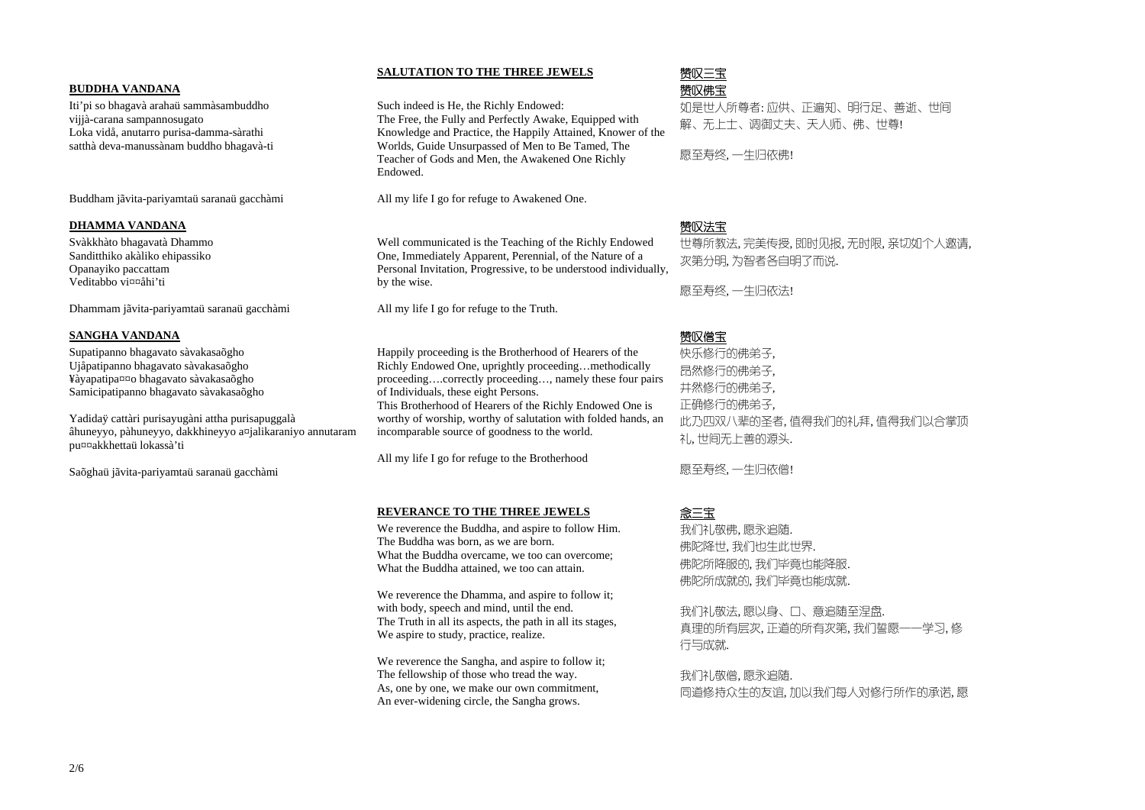# 赞叹三宝  $\overline{\Delta}$  , and the contribution of the contribution of the contribution of the contribution of the contribution of the contribution of  $\overline{\mathfrak{B}}$   $\mathbb{W}$ 佛宝

# **SALUTATION TO THE THREE JEWELS**

### **BUDDHA VANDANA**

Iti'pi so bhagavà arahaü sammàsambuddho vijjà-carana sampannosugato Loka vidå, anutarro purisa-damma-sàrathi satthà deva-manussànam buddho bhagavà-ti

Buddham jãvita-pariyamtaü saranaü gacchàmi

Such indeed is He, the Richly Endowed: The Free, the Fully and Perfectly Awake, Equipped with Knowledge and Practice, the Happily Attained, Knower of the Worlds, Guide Unsurpassed of Men to Be Tamed, The Teacher of Gods and Men, the Awakened One Richly Endowed.

All my life I go for refuge to Awakened One.

如是世人所尊者: 应供、正遍知、明行足、善逝、世间 解、无上士、调御丈夫、天人师、佛、世尊!

愿至寿终, 一生归依佛!

# $\overline{\texttt{A}}$  赞叹法宝

### **DHAMMA VANDANA**

Svàkkhàto bhagavatà Dhammo Sanditthiko akàliko ehipassiko Opanayiko paccattam Veditabbo vi¤¤åhi'ti

Dhammam jãvita-pariyamtaü saranaü gacchàmi

Well communicated is the Teaching of the Richly Endowed One, Immediately Apparent, Perennial, of the Nature of a Personal Invitation, Progressive, to be understood individually, by the wise.

All my life I go for refuge to the Truth.

世尊所教法, 完美传授, 即时见报, 无时限, 亲切如个人邀请, 次第分明, 为智者各自明了而说.

愿至寿终, 一生归依法!

# $\overline{\rm A}$  , and the contribution of the contribution of the contribution of the contribution of the contribution of  $\overline{\rm B}$   ${\rm W}$  (e)  $\overline{\rm B}$

### **SANGHA VANDANA**

Supatipanno bhagavato sàvakasaõgho Ujåpatipanno bhagavato sàvakasaõgho ¥àyapatipa¤¤o bhagavato sàvakasaõgho Samicipatipanno bhagavato sàvakasaõgho

Yadidaÿ cattàri purisayugàni attha purisapuggalà âhuneyyo, pàhuneyyo, dakkhineyyo a¤jalikaraniyo annutaram pu¤¤akkhettaü lokassà'ti

> 我们礼敬法, 愿以身、口、意追随至涅盘. 真理的所有层次, 正道的所有次第, 我们誓愿一一学习, 修 行与成就.

Saõghaü jãvita-pariyamtaü saranaü gacchàmi

Happily proceeding is the Brotherhood of Hearers of the Richly Endowed One, uprightly proceeding…methodically proceeding….correctly proceeding…, namely these four pairs of Individuals, these eight Persons.

This Brotherhood of Hearers of the Richly Endowed One is worthy of worship, worthy of salutation with folded hands, an incomparable source of goodness to the world.

All my life I go for refuge to the Brotherhood

快乐修行的佛弟子, 昂然修行的佛弟子, 井然修行的佛弟子, 正确修行的佛弟子, 此乃四双八辈的圣者, 值得我们的礼拜, 值得我们以合掌顶 礼, 世间无上善的源头.

愿至寿终, 一生归依僧!

### **REVERANCE TO THE THREE JEWELS**

# 念三宝

 We reverence the Buddha, and aspire to follow Him. The Buddha was born, as we are born. What the Buddha overcame, we too can overcome; What the Buddha attained, we too can attain.

We reverence the Dhamma, and aspire to follow it; with body, speech and mind, until the end. The Truth in all its aspects, the path in all its stages, We aspire to study, practice, realize.

We reverence the Sangha, and aspire to follow it; The fellowship of those who tread the way. As, one by one, we make our own commitment, An ever-widening circle, the Sangha grows.

我们礼敬佛, 愿永追随. 佛陀降世, 我们也生此世界. 佛陀所降服的, 我们毕竟也能降服. 佛陀所成就的, 我们毕竟也能成就.

我们礼敬僧, 愿永追随. 同道修持众生的友谊, 加以我们每人对修行所作的承诺, 愿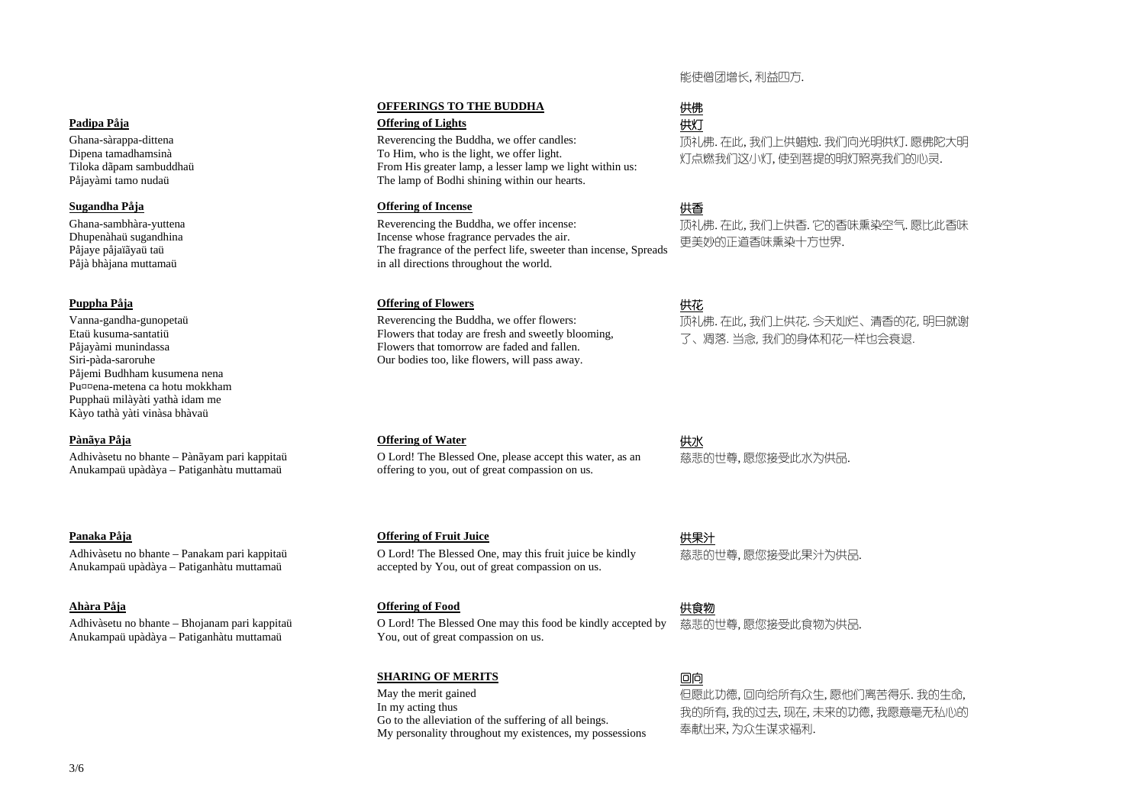# 能使僧团增长, 利益四方.

### **OFFERINGS TO THE BUDDHA**

### **Padipa Påja** (共灯)

# 供佛

Ghana-sàrappa-dittena Dipena tamadhamsinà Tiloka dãpam sambuddhaü Påjayàmi tamo nudaü

Reverencing the Buddha, we offer candles: To Him, who is the light, we offer light. From His greater lamp, a lesser lamp we light within us: The lamp of Bodhi shining within our hearts.

### **Sugandha Påja** (共香

顶礼佛. 在此, 我们上供蜡烛. 我们向光明供灯. 愿佛陀大明 灯点燃我们这小灯, 使到菩提的明灯照亮我们的心灵.

Ghana-sambhàra-yuttena Dhupenàhaü sugandhina Påjaye påjaïãyaü taü Påjà bhàjana muttamaü

Reverencing the Buddha, we offer incense: Incense whose fragrance pervades the air. The fragrance of the perfect life, sweeter than incense, Spreads in all directions throughout the world.

### **Puppha Påja** (共花)

顶礼佛. 在此, 我们上供香. 它的香味熏染空气. 愿比此香味 更美妙的正道香味熏染十方世界.

Vanna-gandha-gunopetaü Etaü kusuma-santatiü Påjayàmi munindassa Siri-pàda-saroruhe Påjemi Budhham kusumena nena Pu¤¤ena-metena ca hotu mokkham Pupphaü milàyàti yathà idam me Kàyo tathà yàti vinàsa bhàvaü

Reverencing the Buddha, we offer flowers: Flowers that today are fresh and sweetly blooming, Flowers that tomorrow are faded and fallen. Our bodies too, like flowers, will pass away.

### **Pànãya Påja** (共)

顶礼佛. 在此, 我们上供花. 今天灿烂、清香的花, 明日就谢 了、凋落. 当念, 我们的身体和花一样也会衰退.

Adhivàsetu no bhante – Pànãyam pari kappitaü Anukampaü upàdàya – Patiganhàtu muttamaü

O Lord! The Blessed One, please accept this water, as an offering to you, out of great compassion on us.

### **Panaka Påja** (共果汁) **Panaka Påja** (1)

慈悲的世尊, 愿您接受此水为供品.

Adhivàsetu no bhante – Panakam pari kappitaü Anukampaü upàdàya – Patiganhàtu muttamaü

O Lord! The Blessed One, may this fruit juice be kindly accepted by You, out of great compassion on us.

### **Ahàra Påja** (1) the control of the control of the control of Food (1) the control of Food (1) the control of Food (1) the control of Food (1) the control of Food (1) the control of Food (1) the control of Food (1) the co

慈悲的世尊, 愿您接受此果汁为供品.

Adhivàsetu no bhante – Bhojanam pari kappitaü Anukampaü upàdàya – Patiganhàtu muttamaü

O Lord! The Blessed One may this food be kindly accepted by You, out of great compassion on us.

慈悲的世尊, 愿您接受此食物为供品.

### **SHARING OF MERITS**

# 回向

 May the merit gained In my acting thus Go to the alleviation of the suffering of all beings. My personality throughout my existences, my possessions 但愿此功德, 回向给所有众生, 愿他们离苦得乐. 我的生命, 我的所有, 我的过去, 现在, 未来的功德, 我愿意毫无私心的 奉献出来, 为众生谋求福利.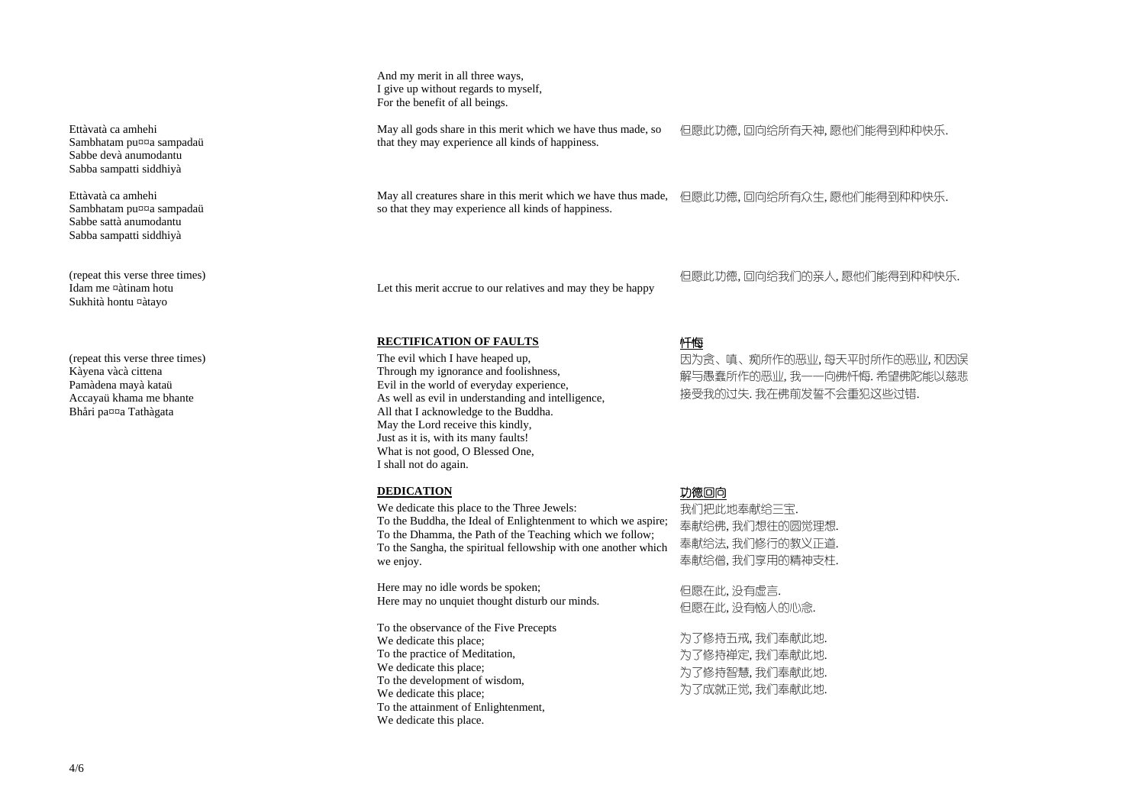And my merit in all three ways, I give up without regards to myself, For the benefit of all beings.

Ettàvatà ca amhehi Sambhatam pu¤¤a sampadaü Sabbe devà anumodantu Sabba sampatti siddhiyà

May all gods share in this merit which we have thus made, so that they may experience all kinds of happiness.

但愿此功德, 回向给所有天神, 愿他们能得到种种快乐.

Ettàvatà ca amhehi Sambhatam pu¤¤a sampadaü Sabbe sattà anumodantu Sabba sampatti siddhiyà

May all creatures share in this merit which we have thus made, 但愿此功德, 回向给所有众生, 愿他们能得到种种快乐. so that they may experience all kinds of happiness.

(repeat this verse three times) Idam me ¤àtinam hotu Sukhità hontu ¤àtayo

Let this merit accrue to our relatives and may they be happy

但愿此功德, 回向给我们的亲人, 愿他们能得到种种快乐.

### **RECTIFICATION OF FAULTS**

# 忏悔

(repeat this verse three times) Kàyena vàcà cittena Pamàdena mayà kataü Accayaü khama me bhante Bhåri pa¤¤a Tathàgata

The evil which I have heaped up, Through my ignorance and foolishness, Evil in the world of everyday experience, As well as evil in understanding and intelligence, All that I acknowledge to the Buddha. May the Lord receive this kindly, Just as it is, with its many faults! What is not good, O Blessed One, I shall not do again.

### **DEDICATION DEDICATION**

因为贪、嗔、痴所作的恶业, 每天平时所作的恶业, 和因误 解与愚蠢所作的恶业, 我一一向佛忏悔. 希望佛陀能以慈悲 接受我的过失. 我在佛前发誓不会重犯这些过错.

 We dedicate this place to the Three Jewels: To the Buddha, the Ideal of Enlightenment to which we aspire; To the Dhamma, the Path of the Teaching which we follow; To the Sangha, the spiritual fellowship with one another which we enjoy.

Here may no idle words be spoken; Here may no unquiet thought disturb our minds.

To the observance of the Five Precepts We dedicate this place; To the practice of Meditation, We dedicate this place; To the development of wisdom, We dedicate this place; To the attainment of Enlightenment, We dedicate this place.

我们把此地奉献给三宝. 奉献给佛, 我们想往的圆觉理想. 奉献给法, 我们修行的教义正道. 奉献给僧, 我们享用的精神支柱.

但愿在此, 没有虚言. 但愿在此, 没有恼人的心念.

为了修持五戒, 我们奉献此地. 为了修持禅定, 我们奉献此地. 为了修持智慧, 我们奉献此地. 为了成就正觉, 我们奉献此地.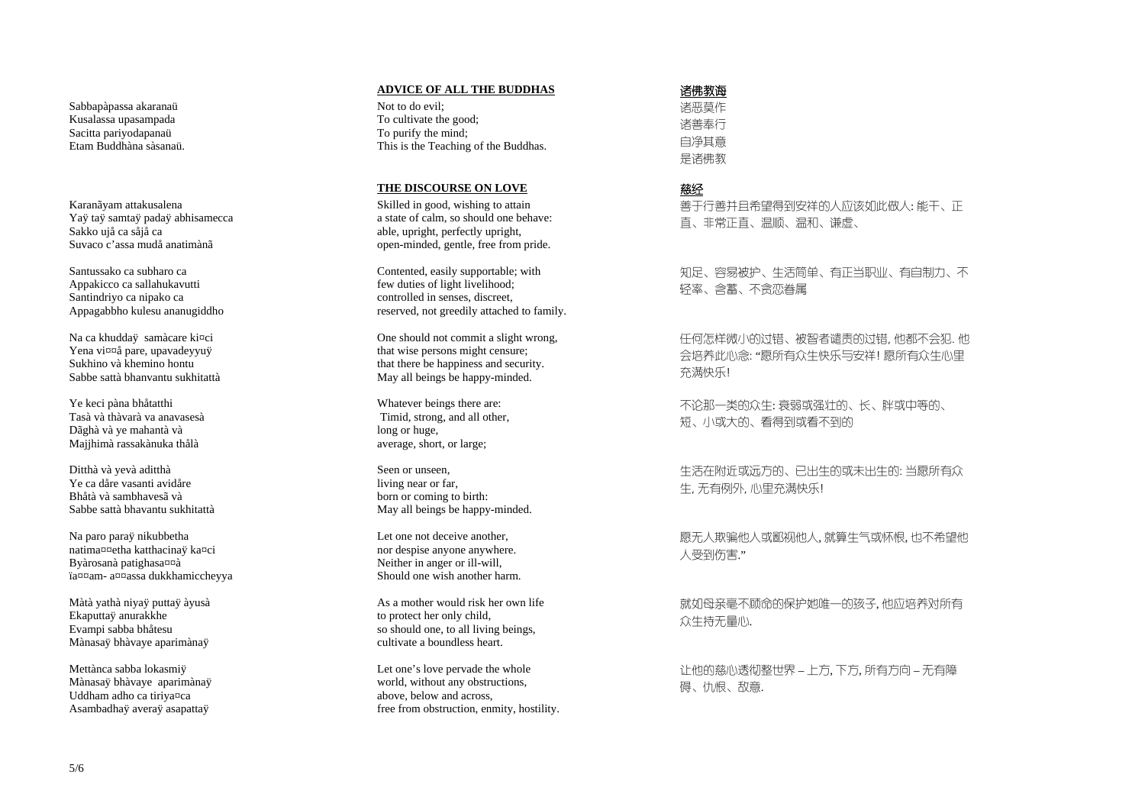Sabbapàpassa akaranaü Kusalassa upasampada Sacitta pariyodapanaü Etam Buddhàna sàsanaii

Karanãyam attakusalena Yaÿ taÿ samtaÿ padaÿ abhisamecca Sakko ujå ca såjå ca Suvaco c'assa mudå anatimànã

Santussako ca subharo ca Appakicco ca sallahukavutti Santindriyo ca nipako ca Appagabbho kulesu ananugiddho

Na ca khuddaÿ samàcare ki¤ci Yena vi¤¤å pare, upavadeyyuÿ Sukhino và khemino hontu Sabbe sattà bhanyantu sukhitattà

Ye keci pàna bhåtatthi Tasà và thàvarà va anavasesà Dãghà và ye mahantà và Majjhimà rassakànuka thålà

Ditthà và yevà aditthà Ye ca dåre vasanti avidåre Bhåtà và sambhavesã và Sabbe sattà bhavantu sukhitattà

Na paro paraÿ nikubbetha natima¤¤etha katthacinaÿ ka¤ci Byàrosanà patighasana ïa¤¤am-a¤¤assa dukkhamiccheyya

Màtà yathà niyaÿ puttaÿ àyusà Ekaputtaÿ anurakkhe Evampi sabba bhåtesu Mànasaÿ bhàvaye aparimànaÿ

Mettànca sabba lokasmiÿ Mànasaÿ bhàvaye aparimànaÿ Uddham adho ca tiriya¤ca Asambadhaÿ averaÿ asapattaÿ

### **ADVICE OF ALL THE BUDDHAS**

Not to do evil: To cultivate the good; To purify the mind; This is the Teaching of the Buddhas.

### THE DISCOURSE ON LOVE

Skilled in good, wishing to attain a state of calm, so should one behave: able, upright, perfectly upright, open-minded, gentle, free from pride.

Contented, easily supportable; with few duties of light livelihood; controlled in senses, discreet, reserved, not greedily attached to family.

One should not commit a slight wrong, that wise persons might censure; that there be happiness and security. May all beings be happy-minded.

Whatever beings there are: Timid, strong, and all other, long or huge. average, short, or large;

Seen or unseen. living near or far. born or coming to birth: May all beings be happy-minded.

Let one not deceive another. nor despise anyone anywhere. Neither in anger or ill-will, Should one wish another harm.

As a mother would risk her own life to protect her only child, so should one, to all living beings, cultivate a boundless heart.

Let one's love pervade the whole world, without any obstructions, above, below and across. free from obstruction, enmity, hostility.

# 诸佛教诲

诸恶莫作 诸善奉行 自净其意 是诸佛教

# 慈经

善于行善并且希望得到安祥的人应该如此做人: 能干、正 直、非常正直、温顺、温和、谦虚、

知足、容易被护、生活简单、有正当职业、有自制力、不 轻率、含蓄、不念恋眷属

任何怎样微小的过错、被智者谴责的过错,他都不会犯.他 会培养此心念: "愿所有众生快乐与安祥! 愿所有众生心里 充满快乐!

不论那一类的众生: 衰弱或强壮的、长、胖或中等的、 短、小或大的、看得到或看不到的

生活在附近或远方的、已出生的或未出生的: 当愿所有众 生,无有例外,心里充满快乐!

愿无人欺骗他人或鄙视他人,就算生气或怀恨,也不希望他 人受到伤害."

就如母亲毫不顾命的保护她唯一的孩子,他应培养对所有 众生持无量心.

让他的慈心透彻整世界 - 上方,下方,所有方向 - 无有障 碍、仇恨、敌意.